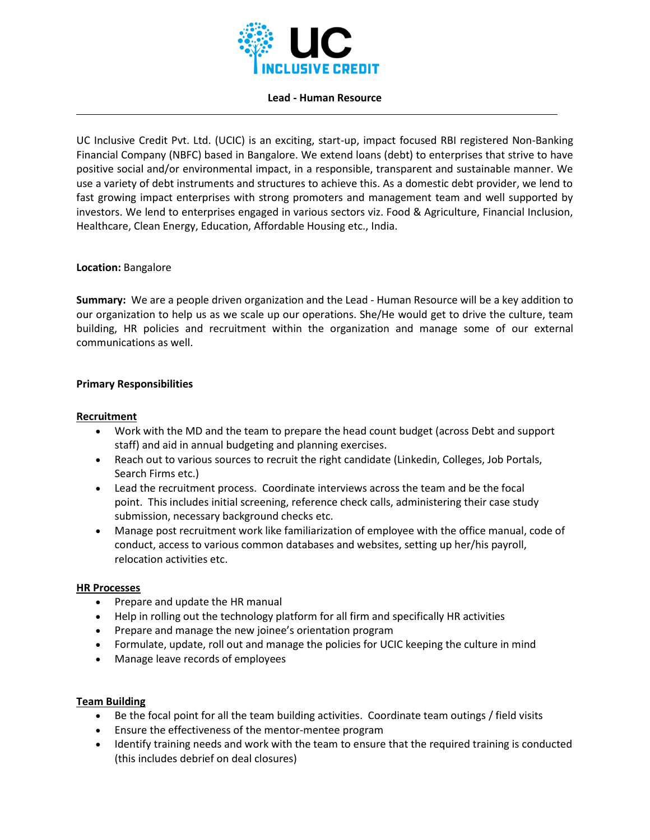

#### **Lead - Human Resource**

UC Inclusive Credit Pvt. Ltd. (UCIC) is an exciting, start-up, impact focused RBI registered Non-Banking Financial Company (NBFC) based in Bangalore. We extend loans (debt) to enterprises that strive to have positive social and/or environmental impact, in a responsible, transparent and sustainable manner. We use a variety of debt instruments and structures to achieve this. As a domestic debt provider, we lend to fast growing impact enterprises with strong promoters and management team and well supported by investors. We lend to enterprises engaged in various sectors viz. Food & Agriculture, Financial Inclusion, Healthcare, Clean Energy, Education, Affordable Housing etc., India.

# **Location:** Bangalore

**Summary:** We are a people driven organization and the Lead - Human Resource will be a key addition to our organization to help us as we scale up our operations. She/He would get to drive the culture, team building, HR policies and recruitment within the organization and manage some of our external communications as well.

# **Primary Responsibilities**

### **Recruitment**

- Work with the MD and the team to prepare the head count budget (across Debt and support staff) and aid in annual budgeting and planning exercises.
- Reach out to various sources to recruit the right candidate (Linkedin, Colleges, Job Portals, Search Firms etc.)
- Lead the recruitment process. Coordinate interviews across the team and be the focal point. This includes initial screening, reference check calls, administering their case study submission, necessary background checks etc.
- Manage post recruitment work like familiarization of employee with the office manual, code of conduct, access to various common databases and websites, setting up her/his payroll, relocation activities etc.

#### **HR Processes**

- Prepare and update the HR manual
- Help in rolling out the technology platform for all firm and specifically HR activities
- Prepare and manage the new joinee's orientation program
- Formulate, update, roll out and manage the policies for UCIC keeping the culture in mind
- Manage leave records of employees

# **Team Building**

- Be the focal point for all the team building activities. Coordinate team outings / field visits
- Ensure the effectiveness of the mentor-mentee program
- Identify training needs and work with the team to ensure that the required training is conducted (this includes debrief on deal closures)